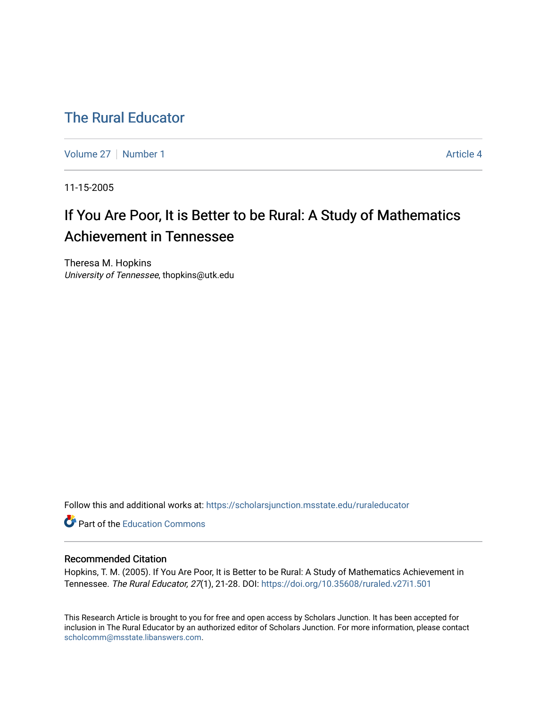## [The Rural Educator](https://scholarsjunction.msstate.edu/ruraleducator)

[Volume 27](https://scholarsjunction.msstate.edu/ruraleducator/vol27) | [Number 1](https://scholarsjunction.msstate.edu/ruraleducator/vol27/iss1) Article 4

11-15-2005

# If You Are Poor, It is Better to be Rural: A Study of Mathematics Achievement in Tennessee

Theresa M. Hopkins University of Tennessee, thopkins@utk.edu

Follow this and additional works at: [https://scholarsjunction.msstate.edu/ruraleducator](https://scholarsjunction.msstate.edu/ruraleducator?utm_source=scholarsjunction.msstate.edu%2Fruraleducator%2Fvol27%2Fiss1%2F4&utm_medium=PDF&utm_campaign=PDFCoverPages)

**Part of the [Education Commons](http://network.bepress.com/hgg/discipline/784?utm_source=scholarsjunction.msstate.edu%2Fruraleducator%2Fvol27%2Fiss1%2F4&utm_medium=PDF&utm_campaign=PDFCoverPages)** 

#### Recommended Citation

Hopkins, T. M. (2005). If You Are Poor, It is Better to be Rural: A Study of Mathematics Achievement in Tennessee. The Rural Educator, 27(1), 21-28. DOI: <https://doi.org/10.35608/ruraled.v27i1.501>

This Research Article is brought to you for free and open access by Scholars Junction. It has been accepted for inclusion in The Rural Educator by an authorized editor of Scholars Junction. For more information, please contact [scholcomm@msstate.libanswers.com.](mailto:scholcomm@msstate.libanswers.com)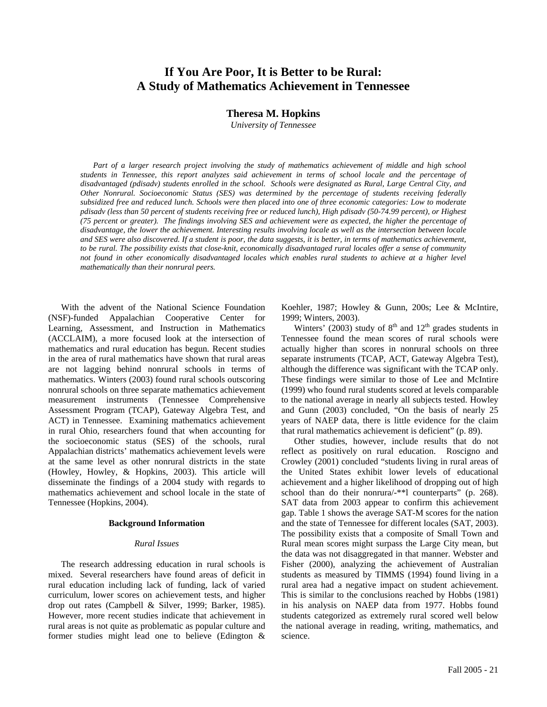### **If You Are Poor, It is Better to be Rural: A Study of Mathematics Achievement in Tennessee**

#### **Theresa M. Hopkins**

*University of Tennessee* 

Part of a larger research project involving the study of mathematics achievement of middle and high school *students in Tennessee, this report analyzes said achievement in terms of school locale and the percentage of disadvantaged (pdisadv) students enrolled in the school. Schools were designated as Rural, Large Central City, and Other Nonrural. Socioeconomic Status (SES) was determined by the percentage of students receiving federally subsidized free and reduced lunch. Schools were then placed into one of three economic categories: Low to moderate pdisadv (less than 50 percent of students receiving free or reduced lunch), High pdisadv (50-74.99 percent), or Highest (75 percent or greater). The findings involving SES and achievement were as expected, the higher the percentage of disadvantage, the lower the achievement. Interesting results involving locale as well as the intersection between locale and SES were also discovered. If a student is poor, the data suggests, it is better, in terms of mathematics achievement, to be rural. The possibility exists that close-knit, economically disadvantaged rural locales offer a sense of community*  not found in other economically disadvantaged locales which enables rural students to achieve at a higher level *mathematically than their nonrural peers.* 

With the advent of the National Science Foundation (NSF)-funded Appalachian Cooperative Center for Learning, Assessment, and Instruction in Mathematics (ACCLAIM), a more focused look at the intersection of mathematics and rural education has begun. Recent studies in the area of rural mathematics have shown that rural areas are not lagging behind nonrural schools in terms of mathematics. Winters (2003) found rural schools outscoring nonrural schools on three separate mathematics achievement measurement instruments (Tennessee Comprehensive Assessment Program (TCAP), Gateway Algebra Test, and ACT) in Tennessee. Examining mathematics achievement in rural Ohio, researchers found that when accounting for the socioeconomic status (SES) of the schools, rural Appalachian districts' mathematics achievement levels were at the same level as other nonrural districts in the state (Howley, Howley, & Hopkins, 2003). This article will disseminate the findings of a 2004 study with regards to mathematics achievement and school locale in the state of Tennessee (Hopkins, 2004).

#### **Background Information**

#### *Rural Issues*

The research addressing education in rural schools is mixed. Several researchers have found areas of deficit in rural education including lack of funding, lack of varied curriculum, lower scores on achievement tests, and higher drop out rates (Campbell & Silver, 1999; Barker, 1985). However, more recent studies indicate that achievement in rural areas is not quite as problematic as popular culture and former studies might lead one to believe (Edington & Koehler, 1987; Howley & Gunn, 200s; Lee & McIntire, 1999; Winters, 2003).

Winters' (2003) study of  $8<sup>th</sup>$  and  $12<sup>th</sup>$  grades students in Tennessee found the mean scores of rural schools were actually higher than scores in nonrural schools on three separate instruments (TCAP, ACT, Gateway Algebra Test), although the difference was significant with the TCAP only. These findings were similar to those of Lee and McIntire (1999) who found rural students scored at levels comparable to the national average in nearly all subjects tested. Howley and Gunn (2003) concluded, "On the basis of nearly 25 years of NAEP data, there is little evidence for the claim that rural mathematics achievement is deficient" (p. 89).

Other studies, however, include results that do not reflect as positively on rural education. Roscigno and Crowley (2001) concluded "students living in rural areas of the United States exhibit lower levels of educational achievement and a higher likelihood of dropping out of high school than do their nonrura/-\*\*l counterparts" (p. 268). SAT data from 2003 appear to confirm this achievement gap. Table 1 shows the average SAT-M scores for the nation and the state of Tennessee for different locales (SAT, 2003). The possibility exists that a composite of Small Town and Rural mean scores might surpass the Large City mean, but the data was not disaggregated in that manner. Webster and Fisher (2000), analyzing the achievement of Australian students as measured by TIMMS (1994) found living in a rural area had a negative impact on student achievement. This is similar to the conclusions reached by Hobbs (1981) in his analysis on NAEP data from 1977. Hobbs found students categorized as extremely rural scored well below the national average in reading, writing, mathematics, and science.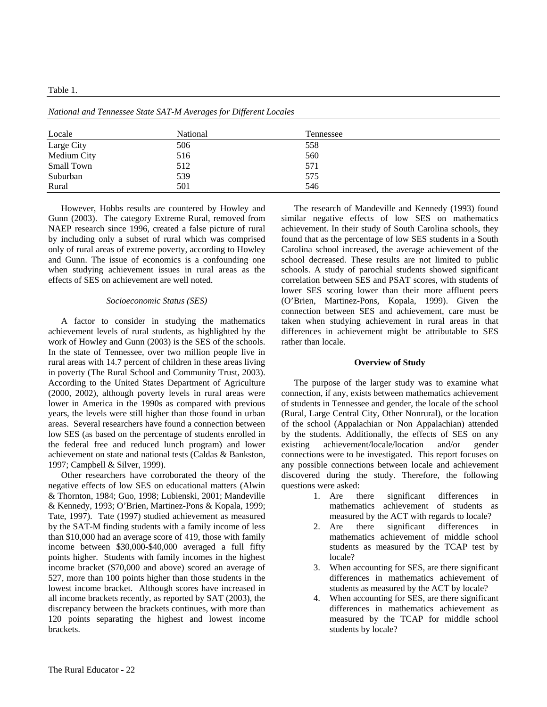| Locale      | National | Tennessee |  |
|-------------|----------|-----------|--|
| Large City  | 506      | 558       |  |
| Medium City | 516      | 560       |  |
| Small Town  | 512      | 571       |  |
| Suburban    | 539      | 575       |  |
| Rural       | 501      | 546       |  |

*National and Tennessee State SAT-M Averages for Different Locales* 

However, Hobbs results are countered by Howley and Gunn (2003). The category Extreme Rural, removed from NAEP research since 1996, created a false picture of rural by including only a subset of rural which was comprised only of rural areas of extreme poverty, according to Howley and Gunn. The issue of economics is a confounding one when studying achievement issues in rural areas as the effects of SES on achievement are well noted.

#### *Socioeconomic Status (SES)*

A factor to consider in studying the mathematics achievement levels of rural students, as highlighted by the work of Howley and Gunn (2003) is the SES of the schools. In the state of Tennessee, over two million people live in rural areas with 14.7 percent of children in these areas living in poverty (The Rural School and Community Trust, 2003). According to the United States Department of Agriculture (2000, 2002), although poverty levels in rural areas were lower in America in the 1990s as compared with previous years, the levels were still higher than those found in urban areas. Several researchers have found a connection between low SES (as based on the percentage of students enrolled in the federal free and reduced lunch program) and lower achievement on state and national tests (Caldas & Bankston, 1997; Campbell & Silver, 1999).

Other researchers have corroborated the theory of the negative effects of low SES on educational matters (Alwin & Thornton, 1984; Guo, 1998; Lubienski, 2001; Mandeville & Kennedy, 1993; O'Brien, Martinez-Pons & Kopala, 1999; Tate, 1997). Tate (1997) studied achievement as measured by the SAT-M finding students with a family income of less than \$10,000 had an average score of 419, those with family income between \$30,000-\$40,000 averaged a full fifty points higher. Students with family incomes in the highest income bracket (\$70,000 and above) scored an average of 527, more than 100 points higher than those students in the lowest income bracket. Although scores have increased in all income brackets recently, as reported by SAT (2003), the discrepancy between the brackets continues, with more than 120 points separating the highest and lowest income brackets.

The research of Mandeville and Kennedy (1993) found similar negative effects of low SES on mathematics achievement. In their study of South Carolina schools, they found that as the percentage of low SES students in a South Carolina school increased, the average achievement of the school decreased. These results are not limited to public schools. A study of parochial students showed significant correlation between SES and PSAT scores, with students of lower SES scoring lower than their more affluent peers (O'Brien, Martinez-Pons, Kopala, 1999). Given the connection between SES and achievement, care must be taken when studying achievement in rural areas in that differences in achievement might be attributable to SES rather than locale.

#### **Overview of Study**

The purpose of the larger study was to examine what connection, if any, exists between mathematics achievement of students in Tennessee and gender, the locale of the school (Rural, Large Central City, Other Nonrural), or the location of the school (Appalachian or Non Appalachian) attended by the students. Additionally, the effects of SES on any existing achievement/locale/location and/or gender connections were to be investigated. This report focuses on any possible connections between locale and achievement discovered during the study. Therefore, the following questions were asked:

- 1. Are there significant differences in mathematics achievement of students as measured by the ACT with regards to locale?
- 2. Are there significant differences in mathematics achievement of middle school students as measured by the TCAP test by locale?
- 3. When accounting for SES, are there significant differences in mathematics achievement of students as measured by the ACT by locale?
- 4. When accounting for SES, are there significant differences in mathematics achievement as measured by the TCAP for middle school students by locale?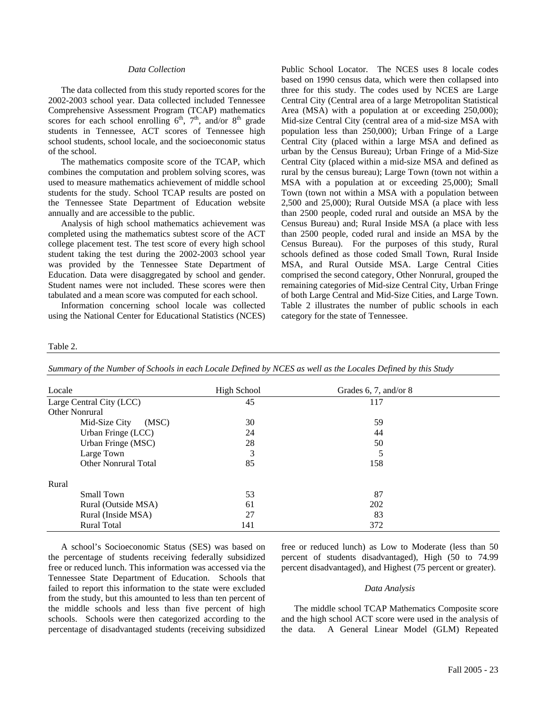#### *Data Collection*

The data collected from this study reported scores for the 2002-2003 school year. Data collected included Tennessee Comprehensive Assessment Program (TCAP) mathematics scores for each school enrolling  $6<sup>th</sup>$ ,  $7<sup>th</sup>$ , and/or  $8<sup>th</sup>$  grade students in Tennessee, ACT scores of Tennessee high school students, school locale, and the socioeconomic status of the school.

The mathematics composite score of the TCAP, which combines the computation and problem solving scores, was used to measure mathematics achievement of middle school students for the study. School TCAP results are posted on the Tennessee State Department of Education website annually and are accessible to the public.

Analysis of high school mathematics achievement was completed using the mathematics subtest score of the ACT college placement test. The test score of every high school student taking the test during the 2002-2003 school year was provided by the Tennessee State Department of Education. Data were disaggregated by school and gender. Student names were not included. These scores were then tabulated and a mean score was computed for each school.

Information concerning school locale was collected using the National Center for Educational Statistics (NCES) Public School Locator. The NCES uses 8 locale codes based on 1990 census data, which were then collapsed into three for this study. The codes used by NCES are Large Central City (Central area of a large Metropolitan Statistical Area (MSA) with a population at or exceeding 250,000); Mid-size Central City (central area of a mid-size MSA with population less than 250,000); Urban Fringe of a Large Central City (placed within a large MSA and defined as urban by the Census Bureau); Urban Fringe of a Mid-Size Central City (placed within a mid-size MSA and defined as rural by the census bureau); Large Town (town not within a MSA with a population at or exceeding 25,000); Small Town (town not within a MSA with a population between 2,500 and 25,000); Rural Outside MSA (a place with less than 2500 people, coded rural and outside an MSA by the Census Bureau) and; Rural Inside MSA (a place with less than 2500 people, coded rural and inside an MSA by the Census Bureau). For the purposes of this study, Rural schools defined as those coded Small Town, Rural Inside MSA, and Rural Outside MSA. Large Central Cities comprised the second category, Other Nonrural, grouped the remaining categories of Mid-size Central City, Urban Fringe of both Large Central and Mid-Size Cities, and Large Town. Table 2 illustrates the number of public schools in each category for the state of Tennessee.

#### Table 2.

*Summary of the Number of Schools in each Locale Defined by NCES as well as the Locales Defined by this Study*

| Locale                   | <b>High School</b> | Grades 6, 7, and/or $8$ |  |
|--------------------------|--------------------|-------------------------|--|
| Large Central City (LCC) | 45                 | 117                     |  |
| Other Nonrural           |                    |                         |  |
| (MSC)<br>Mid-Size City   | 30                 | 59                      |  |
| Urban Fringe (LCC)       | 24                 | 44                      |  |
| Urban Fringe (MSC)       | 28                 | 50                      |  |
| Large Town               | 3                  |                         |  |
| Other Nonrural Total     | 85                 | 158                     |  |
| Rural                    |                    |                         |  |
| Small Town               | 53                 | 87                      |  |
| Rural (Outside MSA)      | 61                 | 202                     |  |
| Rural (Inside MSA)       | 27                 | 83                      |  |
| <b>Rural Total</b>       | 141                | 372                     |  |

A school's Socioeconomic Status (SES) was based on the percentage of students receiving federally subsidized free or reduced lunch. This information was accessed via the Tennessee State Department of Education. Schools that failed to report this information to the state were excluded from the study, but this amounted to less than ten percent of the middle schools and less than five percent of high schools. Schools were then categorized according to the percentage of disadvantaged students (receiving subsidized free or reduced lunch) as Low to Moderate (less than 50 percent of students disadvantaged), High (50 to 74.99 percent disadvantaged), and Highest (75 percent or greater).

#### *Data Analysis*

The middle school TCAP Mathematics Composite score and the high school ACT score were used in the analysis of the data. A General Linear Model (GLM) Repeated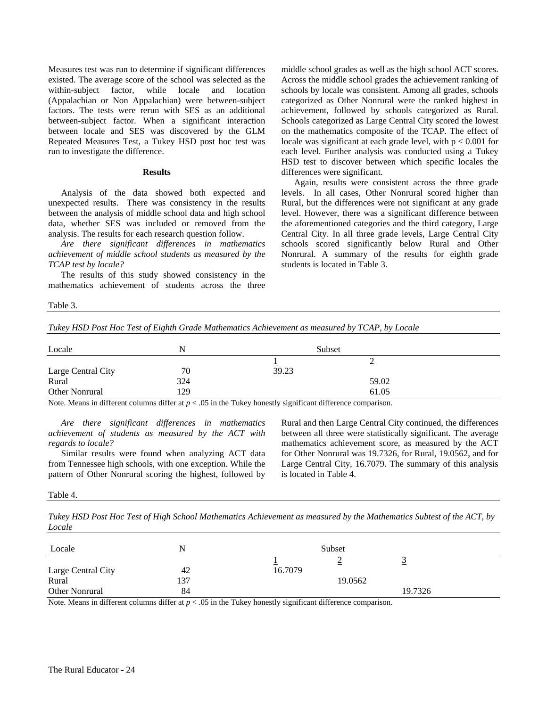Measures test was run to determine if significant differences existed. The average score of the school was selected as the within-subject factor, while locale and location (Appalachian or Non Appalachian) were between-subject factors. The tests were rerun with SES as an additional between-subject factor. When a significant interaction between locale and SES was discovered by the GLM Repeated Measures Test, a Tukey HSD post hoc test was run to investigate the difference.

#### **Results**

Analysis of the data showed both expected and unexpected results. There was consistency in the results between the analysis of middle school data and high school data, whether SES was included or removed from the analysis. The results for each research question follow.

*Are there significant differences in mathematics achievement of middle school students as measured by the TCAP test by locale?* 

The results of this study showed consistency in the mathematics achievement of students across the three

middle school grades as well as the high school ACT scores. Across the middle school grades the achievement ranking of schools by locale was consistent. Among all grades, schools categorized as Other Nonrural were the ranked highest in achievement, followed by schools categorized as Rural. Schools categorized as Large Central City scored the lowest on the mathematics composite of the TCAP. The effect of locale was significant at each grade level, with  $p < 0.001$  for each level. Further analysis was conducted using a Tukey HSD test to discover between which specific locales the differences were significant.

Again, results were consistent across the three grade levels. In all cases, Other Nonrural scored higher than Rural, but the differences were not significant at any grade level. However, there was a significant difference between the aforementioned categories and the third category, Large Central City. In all three grade levels, Large Central City schools scored significantly below Rural and Other Nonrural. A summary of the results for eighth grade students is located in Table 3.

Table 3.

*Tukey HSD Post Hoc Test of Eighth Grade Mathematics Achievement as measured by TCAP, by Locale* 

| Locale             | N   | Subset |       |  |  |
|--------------------|-----|--------|-------|--|--|
|                    |     |        |       |  |  |
| Large Central City | 70  | 39.23  |       |  |  |
| Rural              | 324 |        | 59.02 |  |  |
| Other Nonrural     | 129 |        | 61.05 |  |  |

Note. Means in different columns differ at  $p < .05$  in the Tukey honestly significant difference comparison.

*Are there significant differences in mathematics achievement of students as measured by the ACT with regards to locale?* 

Similar results were found when analyzing ACT data from Tennessee high schools, with one exception. While the pattern of Other Nonrural scoring the highest, followed by Rural and then Large Central City continued, the differences between all three were statistically significant. The average mathematics achievement score, as measured by the ACT for Other Nonrural was 19.7326, for Rural, 19.0562, and for Large Central City, 16.7079. The summary of this analysis is located in Table 4.

Table 4.

*Tukey HSD Post Hoc Test of High School Mathematics Achievement as measured by the Mathematics Subtest of the ACT, by Locale*

| Locale             | N   |         | Subset  |         |  |
|--------------------|-----|---------|---------|---------|--|
|                    |     |         |         |         |  |
| Large Central City | 42  | 16.7079 |         |         |  |
| Rural              | 137 |         | 19.0562 |         |  |
| Other Nonrural     | 84  |         |         | 19.7326 |  |

Note. Means in different columns differ at  $p < .05$  in the Tukey honestly significant difference comparison.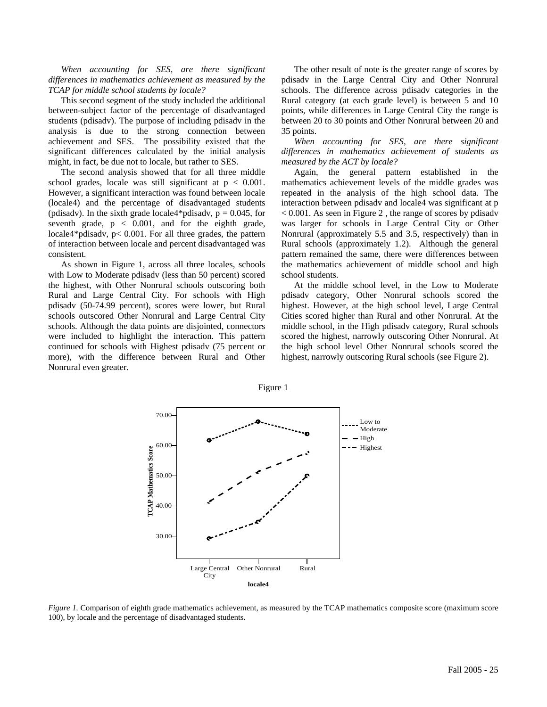*When accounting for SES, are there significant differences in mathematics achievement as measured by the TCAP for middle school students by locale?* 

This second segment of the study included the additional between-subject factor of the percentage of disadvantaged students (pdisadv). The purpose of including pdisadv in the analysis is due to the strong connection between achievement and SES. The possibility existed that the significant differences calculated by the initial analysis might, in fact, be due not to locale, but rather to SES.

The second analysis showed that for all three middle school grades, locale was still significant at  $p < 0.001$ . However, a significant interaction was found between locale (locale4) and the percentage of disadvantaged students (pdisadv). In the sixth grade locale4\*pdisadv,  $p = 0.045$ , for seventh grade,  $p < 0.001$ , and for the eighth grade, locale4\*pdisadv, p< 0.001. For all three grades, the pattern of interaction between locale and percent disadvantaged was consistent.

As shown in Figure 1, across all three locales, schools with Low to Moderate pdisadv (less than 50 percent) scored the highest, with Other Nonrural schools outscoring both Rural and Large Central City. For schools with High pdisadv (50-74.99 percent), scores were lower, but Rural schools outscored Other Nonrural and Large Central City schools. Although the data points are disjointed, connectors were included to highlight the interaction. This pattern continued for schools with Highest pdisadv (75 percent or more), with the difference between Rural and Other Nonrural even greater.

The other result of note is the greater range of scores by pdisadv in the Large Central City and Other Nonrural schools. The difference across pdisadv categories in the Rural category (at each grade level) is between 5 and 10 points, while differences in Large Central City the range is between 20 to 30 points and Other Nonrural between 20 and 35 points.

*When accounting for SES, are there significant differences in mathematics achievement of students as measured by the ACT by locale?* 

Again, the general pattern established in the mathematics achievement levels of the middle grades was repeated in the analysis of the high school data. The interaction between pdisadv and locale4 was significant at p < 0.001. As seen in Figure 2 , the range of scores by pdisadv was larger for schools in Large Central City or Other Nonrural (approximately 5.5 and 3.5, respectively) than in Rural schools (approximately 1.2). Although the general pattern remained the same, there were differences between the mathematics achievement of middle school and high school students.

At the middle school level, in the Low to Moderate pdisadv category, Other Nonrural schools scored the highest. However, at the high school level, Large Central Cities scored higher than Rural and other Nonrural. At the middle school, in the High pdisadv category, Rural schools scored the highest, narrowly outscoring Other Nonrural. At the high school level Other Nonrural schools scored the highest, narrowly outscoring Rural schools (see Figure 2).



*Figure 1.* Comparison of eighth grade mathematics achievement, as measured by the TCAP mathematics composite score (maximum score 100), by locale and the percentage of disadvantaged students.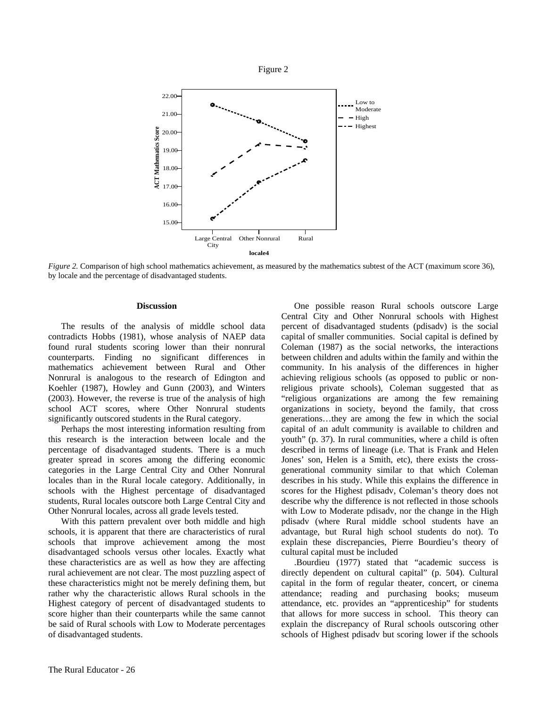



*Figure 2.* Comparison of high school mathematics achievement, as measured by the mathematics subtest of the ACT (maximum score 36), by locale and the percentage of disadvantaged students.

#### **Discussion**

The results of the analysis of middle school data contradicts Hobbs (1981), whose analysis of NAEP data found rural students scoring lower than their nonrural counterparts. Finding no significant differences in mathematics achievement between Rural and Other Nonrural is analogous to the research of Edington and Koehler (1987), Howley and Gunn (2003), and Winters (2003). However, the reverse is true of the analysis of high school ACT scores, where Other Nonrural students significantly outscored students in the Rural category.

Perhaps the most interesting information resulting from this research is the interaction between locale and the percentage of disadvantaged students. There is a much greater spread in scores among the differing economic categories in the Large Central City and Other Nonrural locales than in the Rural locale category. Additionally, in schools with the Highest percentage of disadvantaged students, Rural locales outscore both Large Central City and Other Nonrural locales, across all grade levels tested.

With this pattern prevalent over both middle and high schools, it is apparent that there are characteristics of rural schools that improve achievement among the most disadvantaged schools versus other locales. Exactly what these characteristics are as well as how they are affecting rural achievement are not clear. The most puzzling aspect of these characteristics might not be merely defining them, but rather why the characteristic allows Rural schools in the Highest category of percent of disadvantaged students to score higher than their counterparts while the same cannot be said of Rural schools with Low to Moderate percentages of disadvantaged students.

One possible reason Rural schools outscore Large Central City and Other Nonrural schools with Highest percent of disadvantaged students (pdisadv) is the social capital of smaller communities. Social capital is defined by Coleman (1987) as the social networks, the interactions between children and adults within the family and within the community. In his analysis of the differences in higher achieving religious schools (as opposed to public or nonreligious private schools), Coleman suggested that as "religious organizations are among the few remaining organizations in society, beyond the family, that cross generations…they are among the few in which the social capital of an adult community is available to children and youth" (p. 37). In rural communities, where a child is often described in terms of lineage (i.e. That is Frank and Helen Jones' son, Helen is a Smith, etc), there exists the crossgenerational community similar to that which Coleman describes in his study. While this explains the difference in scores for the Highest pdisadv, Coleman's theory does not describe why the difference is not reflected in those schools with Low to Moderate pdisadv, nor the change in the High pdisadv (where Rural middle school students have an advantage, but Rural high school students do not). To explain these discrepancies, Pierre Bourdieu's theory of cultural capital must be included

.Bourdieu (1977) stated that "academic success is directly dependent on cultural capital" (p. 504). Cultural capital in the form of regular theater, concert, or cinema attendance; reading and purchasing books; museum attendance, etc. provides an "apprenticeship" for students that allows for more success in school. This theory can explain the discrepancy of Rural schools outscoring other schools of Highest pdisadv but scoring lower if the schools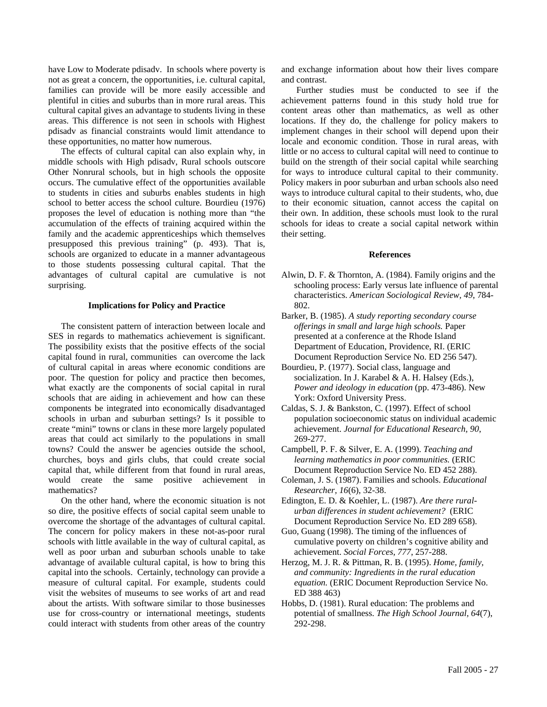have Low to Moderate pdisadv. In schools where poverty is not as great a concern, the opportunities, i.e. cultural capital, families can provide will be more easily accessible and plentiful in cities and suburbs than in more rural areas. This cultural capital gives an advantage to students living in these areas. This difference is not seen in schools with Highest pdisadv as financial constraints would limit attendance to these opportunities, no matter how numerous.

The effects of cultural capital can also explain why, in middle schools with High pdisadv, Rural schools outscore Other Nonrural schools, but in high schools the opposite occurs. The cumulative effect of the opportunities available to students in cities and suburbs enables students in high school to better access the school culture. Bourdieu (1976) proposes the level of education is nothing more than "the accumulation of the effects of training acquired within the family and the academic apprenticeships which themselves presupposed this previous training" (p. 493). That is, schools are organized to educate in a manner advantageous to those students possessing cultural capital. That the advantages of cultural capital are cumulative is not surprising.

#### **Implications for Policy and Practice**

The consistent pattern of interaction between locale and SES in regards to mathematics achievement is significant. The possibility exists that the positive effects of the social capital found in rural, communities can overcome the lack of cultural capital in areas where economic conditions are poor. The question for policy and practice then becomes, what exactly are the components of social capital in rural schools that are aiding in achievement and how can these components be integrated into economically disadvantaged schools in urban and suburban settings? Is it possible to create "mini" towns or clans in these more largely populated areas that could act similarly to the populations in small towns? Could the answer be agencies outside the school, churches, boys and girls clubs, that could create social capital that, while different from that found in rural areas, would create the same positive achievement in mathematics?

On the other hand, where the economic situation is not so dire, the positive effects of social capital seem unable to overcome the shortage of the advantages of cultural capital. The concern for policy makers in these not-as-poor rural schools with little available in the way of cultural capital, as well as poor urban and suburban schools unable to take advantage of available cultural capital, is how to bring this capital into the schools. Certainly, technology can provide a measure of cultural capital. For example, students could visit the websites of museums to see works of art and read about the artists. With software similar to those businesses use for cross-country or international meetings, students could interact with students from other areas of the country

and exchange information about how their lives compare and contrast.

 Further studies must be conducted to see if the achievement patterns found in this study hold true for content areas other than mathematics, as well as other locations. If they do, the challenge for policy makers to implement changes in their school will depend upon their locale and economic condition. Those in rural areas, with little or no access to cultural capital will need to continue to build on the strength of their social capital while searching for ways to introduce cultural capital to their community. Policy makers in poor suburban and urban schools also need ways to introduce cultural capital to their students, who, due to their economic situation, cannot access the capital on their own. In addition, these schools must look to the rural schools for ideas to create a social capital network within their setting.

#### **References**

- Alwin, D. F. & Thornton, A. (1984). Family origins and the schooling process: Early versus late influence of parental characteristics. *American Sociological Review, 49*, 784- 802.
- Barker, B. (1985). *A study reporting secondary course offerings in small and large high schools.* Paper presented at a conference at the Rhode Island Department of Education, Providence, RI. (ERIC Document Reproduction Service No. ED 256 547).
- Bourdieu, P. (1977). Social class, language and socialization. In J. Karabel & A. H. Halsey (Eds.), *Power and ideology in education* (pp. 473-486). New York: Oxford University Press.
- Caldas, S. J. & Bankston, C. (1997). Effect of school population socioeconomic status on individual academic achievement. *Journal for Educational Research, 90*, 269-277.
- Campbell, P. F. & Silver, E. A. (1999). *Teaching and learning mathematics in poor communities.* (ERIC Document Reproduction Service No. ED 452 288).
- Coleman, J. S. (1987). Families and schools. *Educational Researcher, 16*(6), 32-38.
- Edington, E. D. & Koehler, L. (1987). *Are there ruralurban differences in student achievement?* (ERIC Document Reproduction Service No. ED 289 658).
- Guo, Guang (1998). The timing of the influences of cumulative poverty on children's cognitive ability and achievement. *Social Forces, 777*, 257-288.
- Herzog, M. J. R. & Pittman, R. B. (1995). *Home, family, and community: Ingredients in the rural education equation.* (ERIC Document Reproduction Service No. ED 388 463)
- Hobbs, D. (1981). Rural education: The problems and potential of smallness. *The High School Journal, 64*(7), 292-298.